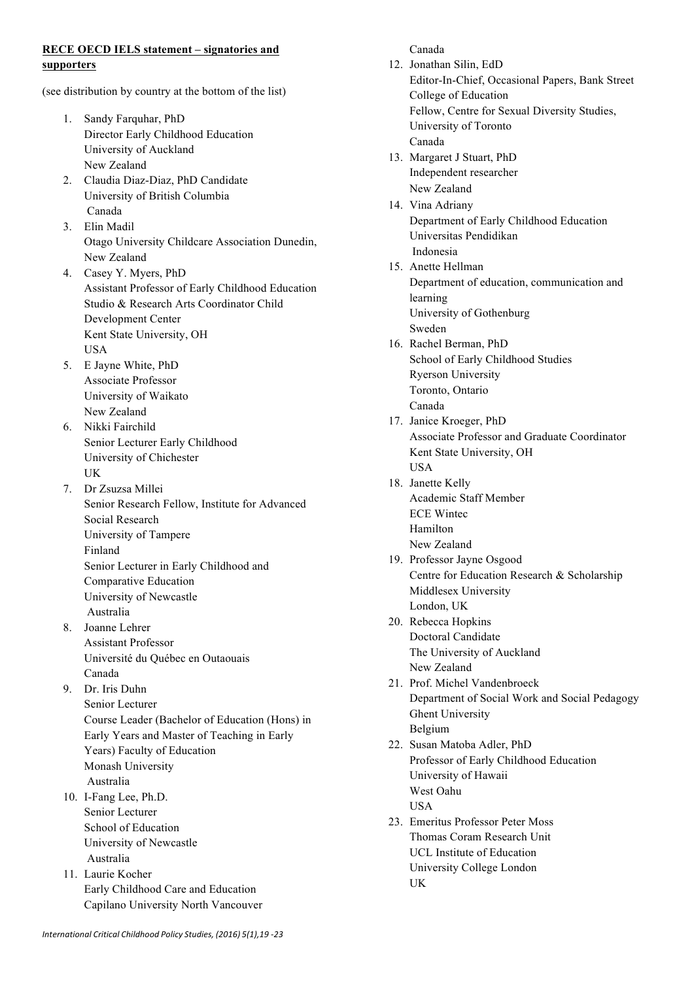## **RECE OECD IELS statement – signatories and supporters**

(see distribution by country at the bottom of the list)

- 1. Sandy Farquhar, PhD Director Early Childhood Education University of Auckland New Zealand
- 2. Claudia Diaz-Diaz, PhD Candidate University of British Columbia Canada
- 3. Elin Madil Otago University Childcare Association Dunedin, New Zealand
- 4. Casey Y. Myers, PhD Assistant Professor of Early Childhood Education Studio & Research Arts Coordinator Child Development Center Kent State University, OH USA
- 5. E Jayne White, PhD Associate Professor University of Waikato New Zealand
- 6. Nikki Fairchild Senior Lecturer Early Childhood University of Chichester UK
- 7. Dr Zsuzsa Millei Senior Research Fellow, Institute for Advanced Social Research University of Tampere Finland Senior Lecturer in Early Childhood and Comparative Education University of Newcastle Australia
- 8. Joanne Lehrer Assistant Professor Université du Québec en Outaouais Canada
- 9. Dr. Iris Duhn Senior Lecturer Course Leader (Bachelor of Education (Hons) in Early Years and Master of Teaching in Early Years) Faculty of Education Monash University Australia
- 10. I-Fang Lee, Ph.D. Senior Lecturer School of Education University of Newcastle Australia
- 11. Laurie Kocher Early Childhood Care and Education Capilano University North Vancouver

Canada 12. Jonathan Silin, EdD Editor-In-Chief, Occasional Papers, Bank Street College of Education Fellow, Centre for Sexual Diversity Studies, University of Toronto Canada 13. Margaret J Stuart, PhD Independent researcher New Zealand 14. Vina Adriany Department of Early Childhood Education Universitas Pendidikan Indonesia 15. Anette Hellman Department of education, communication and learning University of Gothenburg Sweden 16. Rachel Berman, PhD School of Early Childhood Studies Ryerson University Toronto, Ontario Canada 17. Janice Kroeger, PhD Associate Professor and Graduate Coordinator Kent State University, OH **USA** 18. Janette Kelly Academic Staff Member ECE Wintec Hamilton New Zealand 19. Professor Jayne Osgood Centre for Education Research & Scholarship Middlesex University London, UK 20. Rebecca Hopkins Doctoral Candidate The University of Auckland New Zealand 21. Prof. Michel Vandenbroeck Department of Social Work and Social Pedagogy Ghent University Belgium 22. Susan Matoba Adler, PhD Professor of Early Childhood Education University of Hawaii West Oahu **IISA** 23. Emeritus Professor Peter Moss Thomas Coram Research Unit UCL Institute of Education University College London

UK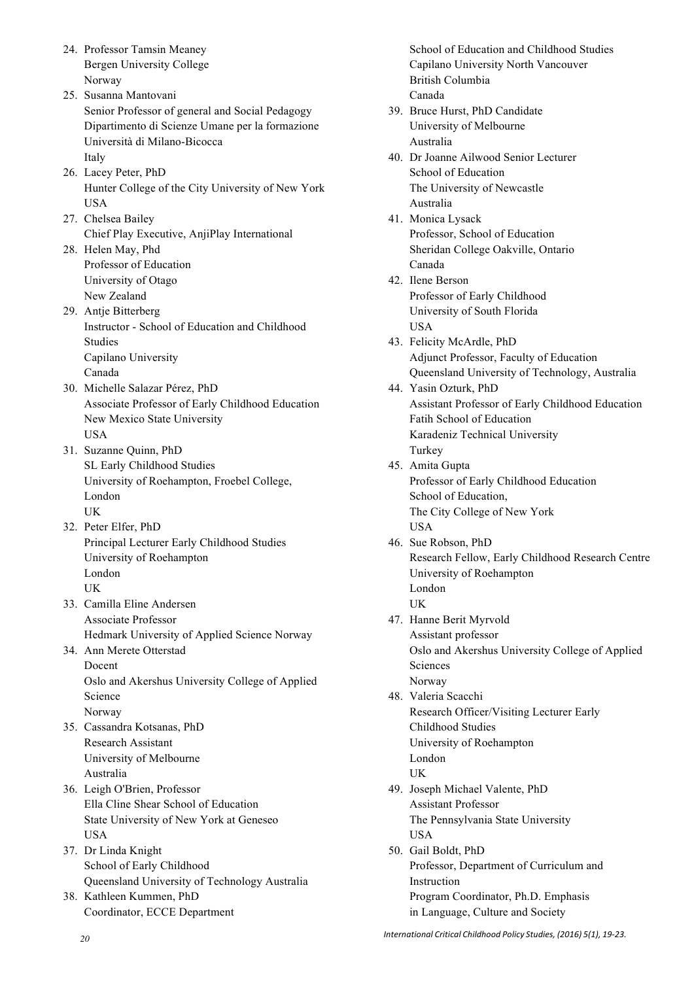- 24. Professor Tamsin Meaney Bergen University College Norway
- 25. Susanna Mantovani Senior Professor of general and Social Pedagogy Dipartimento di Scienze Umane per la formazione Università di Milano-Bicocca Italy
- 26. Lacey Peter, PhD Hunter College of the City University of New York USA
- 27. Chelsea Bailey Chief Play Executive, AnjiPlay International
- 28. Helen May, Phd Professor of Education University of Otago New Zealand
- 29. Antje Bitterberg Instructor - School of Education and Childhood Studies Capilano University Canada
- 30. Michelle Salazar Pérez, PhD Associate Professor of Early Childhood Education New Mexico State University USA
- 31. Suzanne Quinn, PhD SL Early Childhood Studies University of Roehampton, Froebel College, London UK
- 32. Peter Elfer, PhD Principal Lecturer Early Childhood Studies University of Roehampton London UK
- 33. Camilla Eline Andersen Associate Professor Hedmark University of Applied Science Norway
- 34. Ann Merete Otterstad Docent Oslo and Akershus University College of Applied Science Norway
- 35. Cassandra Kotsanas, PhD Research Assistant University of Melbourne Australia
- 36. Leigh O'Brien, Professor Ella Cline Shear School of Education State University of New York at Geneseo **USA**
- 37. Dr Linda Knight School of Early Childhood Queensland University of Technology Australia
- 38. Kathleen Kummen, PhD Coordinator, ECCE Department

School of Education and Childhood Studies Capilano University North Vancouver British Columbia Canada

- 39. Bruce Hurst, PhD Candidate University of Melbourne Australia
- 40. Dr Joanne Ailwood Senior Lecturer School of Education The University of Newcastle Australia
- 41. Monica Lysack Professor, School of Education Sheridan College Oakville, Ontario Canada
- 42. Ilene Berson Professor of Early Childhood University of South Florida USA
- 43. Felicity McArdle, PhD Adjunct Professor, Faculty of Education Queensland University of Technology, Australia
- 44. Yasin Ozturk, PhD Assistant Professor of Early Childhood Education Fatih School of Education Karadeniz Technical University Turkey 45. Amita Gupta
- Professor of Early Childhood Education School of Education, The City College of New York USA
- 46. Sue Robson, PhD Research Fellow, Early Childhood Research Centre University of Roehampton London UK
- 47. Hanne Berit Myrvold Assistant professor Oslo and Akershus University College of Applied Sciences Norway
- 48. Valeria Scacchi Research Officer/Visiting Lecturer Early Childhood Studies University of Roehampton London UK
- 49. Joseph Michael Valente, PhD Assistant Professor The Pennsylvania State University **USA**
- 50. Gail Boldt, PhD Professor, Department of Curriculum and Instruction Program Coordinator, Ph.D. Emphasis in Language, Culture and Society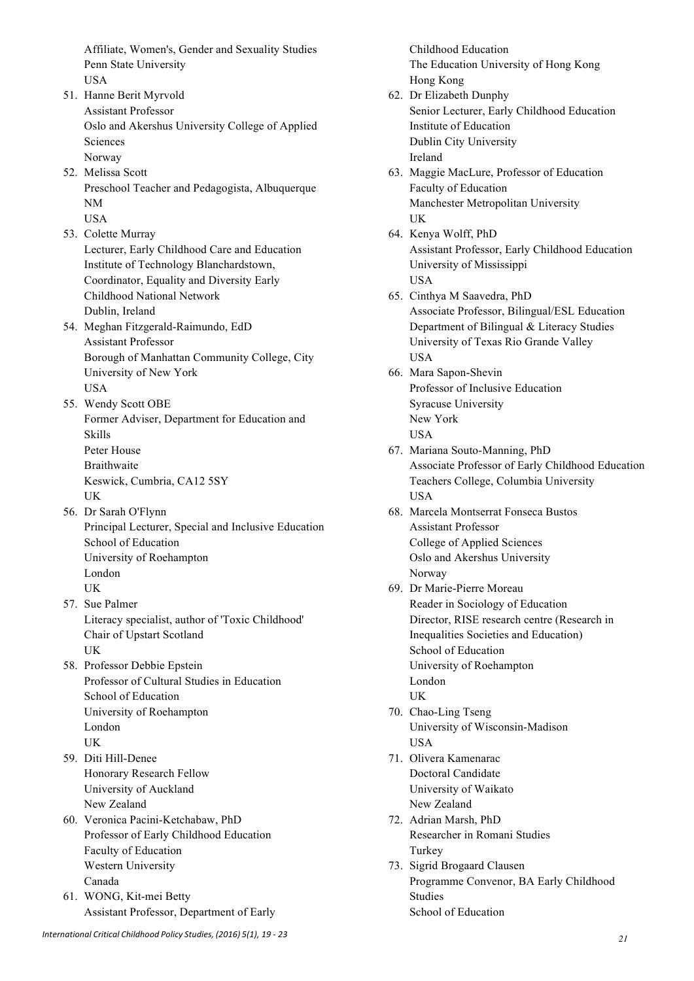Affiliate, Women's, Gender and Sexuality Studies Penn State University USA

- 51. Hanne Berit Myrvold Assistant Professor Oslo and Akershus University College of Applied Sciences Norway
- 52. Melissa Scott Preschool Teacher and Pedagogista, Albuquerque NM USA
- 53. Colette Murray Lecturer, Early Childhood Care and Education Institute of Technology Blanchardstown, Coordinator, Equality and Diversity Early Childhood National Network Dublin, Ireland
- 54. Meghan Fitzgerald-Raimundo, EdD Assistant Professor Borough of Manhattan Community College, City University of New York USA
- 55. Wendy Scott OBE Former Adviser, Department for Education and Skills Peter House **Braithwaite** Keswick, Cumbria, CA12 5SY UK
- 56. Dr Sarah O'Flynn Principal Lecturer, Special and Inclusive Education School of Education University of Roehampton London UK
- 57. Sue Palmer Literacy specialist, author of 'Toxic Childhood' Chair of Upstart Scotland UK
- 58. Professor Debbie Epstein Professor of Cultural Studies in Education School of Education University of Roehampton London UK
- 59. Diti Hill-Denee Honorary Research Fellow University of Auckland New Zealand
- 60. Veronica Pacini-Ketchabaw, PhD Professor of Early Childhood Education Faculty of Education Western University Canada
- 61. WONG, Kit-mei Betty Assistant Professor, Department of Early

Childhood Education The Education University of Hong Kong Hong Kong

- 62. Dr Elizabeth Dunphy Senior Lecturer, Early Childhood Education Institute of Education Dublin City University Ireland
- 63. Maggie MacLure, Professor of Education Faculty of Education Manchester Metropolitan University UK
- 64. Kenya Wolff, PhD Assistant Professor, Early Childhood Education University of Mississippi **USA**
- 65. Cinthya M Saavedra, PhD Associate Professor, Bilingual/ESL Education Department of Bilingual & Literacy Studies University of Texas Rio Grande Valley USA
- 66. Mara Sapon-Shevin Professor of Inclusive Education Syracuse University New York USA
- 67. Mariana Souto-Manning, PhD Associate Professor of Early Childhood Education Teachers College, Columbia University USA
- 68. Marcela Montserrat Fonseca Bustos Assistant Professor College of Applied Sciences Oslo and Akershus University Norway
- 69. Dr Marie-Pierre Moreau Reader in Sociology of Education Director, RISE research centre (Research in Inequalities Societies and Education) School of Education University of Roehampton London UK
- 70. Chao-Ling Tseng University of Wisconsin-Madison **USA**
- 71. Olivera Kamenarac Doctoral Candidate University of Waikato New Zealand
- 72. Adrian Marsh, PhD Researcher in Romani Studies Turkey
- 73. Sigrid Brogaard Clausen Programme Convenor, BA Early Childhood Studies School of Education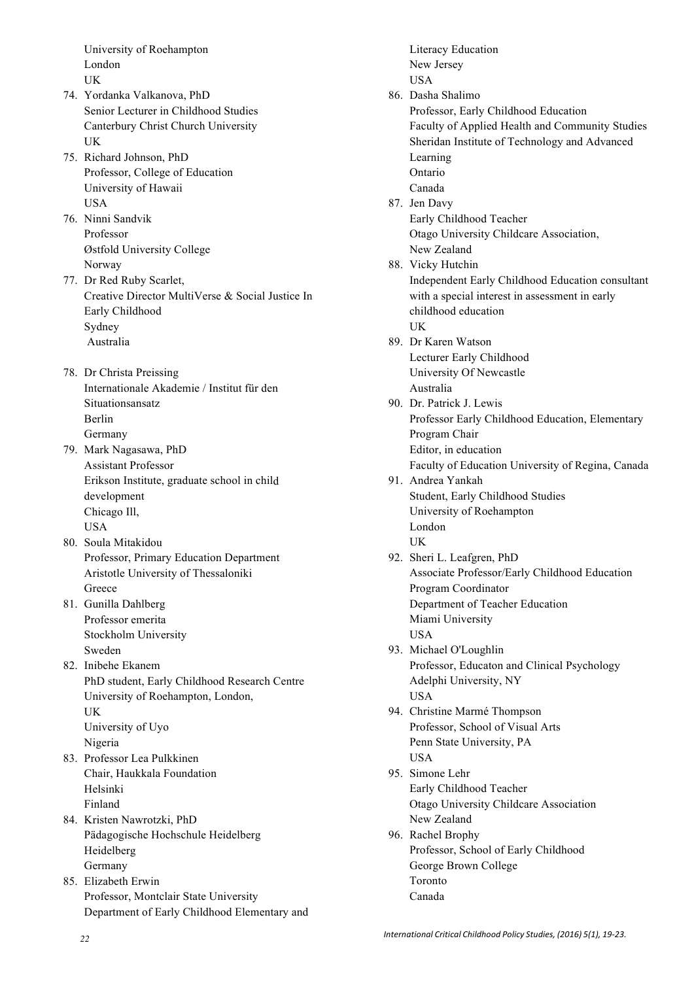University of Roehampton London **IK** 

- 74. Yordanka Valkanova, PhD Senior Lecturer in Childhood Studies Canterbury Christ Church University UK
- 75. Richard Johnson, PhD Professor, College of Education University of Hawaii USA
- 76. Ninni Sandvik Professor Østfold University College Norway
- 77. Dr Red Ruby Scarlet, Creative Director MultiVerse & Social Justice In Early Childhood Sydney Australia
- 78. Dr Christa Preissing Internationale Akademie / Institut für den Situationsansatz Berlin Germany
- 79. Mark Nagasawa, PhD Assistant Professor Erikson Institute, graduate school in child development Chicago Ill, USA
- 80. Soula Mitakidou Professor, Primary Education Department Aristotle University of Thessaloniki Greece
- 81. Gunilla Dahlberg Professor emerita Stockholm University Sweden
- 82. Inibehe Ekanem PhD student, Early Childhood Research Centre University of Roehampton, London, UK University of Uyo Nigeria
- 83. Professor Lea Pulkkinen Chair, Haukkala Foundation Helsinki Finland
- 84. Kristen Nawrotzki, PhD Pädagogische Hochschule Heidelberg Heidelberg Germany
- 85. Elizabeth Erwin Professor, Montclair State University Department of Early Childhood Elementary and

Literacy Education New Jersey USA 86. Dasha Shalimo Professor, Early Childhood Education Faculty of Applied Health and Community Studies Sheridan Institute of Technology and Advanced Learning Ontario Canada 87. Jen Davy Early Childhood Teacher Otago University Childcare Association, New Zealand 88. Vicky Hutchin Independent Early Childhood Education consultant with a special interest in assessment in early childhood education UK 89. Dr Karen Watson Lecturer Early Childhood University Of Newcastle Australia 90. Dr. Patrick J. Lewis Professor Early Childhood Education, Elementary Program Chair Editor, in education Faculty of Education University of Regina, Canada 91. Andrea Yankah Student, Early Childhood Studies University of Roehampton London UK 92. Sheri L. Leafgren, PhD Associate Professor/Early Childhood Education Program Coordinator Department of Teacher Education Miami University USA 93. Michael O'Loughlin Professor, Educaton and Clinical Psychology Adelphi University, NY USA 94. Christine Marmé Thompson Professor, School of Visual Arts Penn State University, PA USA 95. Simone Lehr Early Childhood Teacher Otago University Childcare Association New Zealand 96. Rachel Brophy Professor, School of Early Childhood George Brown College Toronto Canada